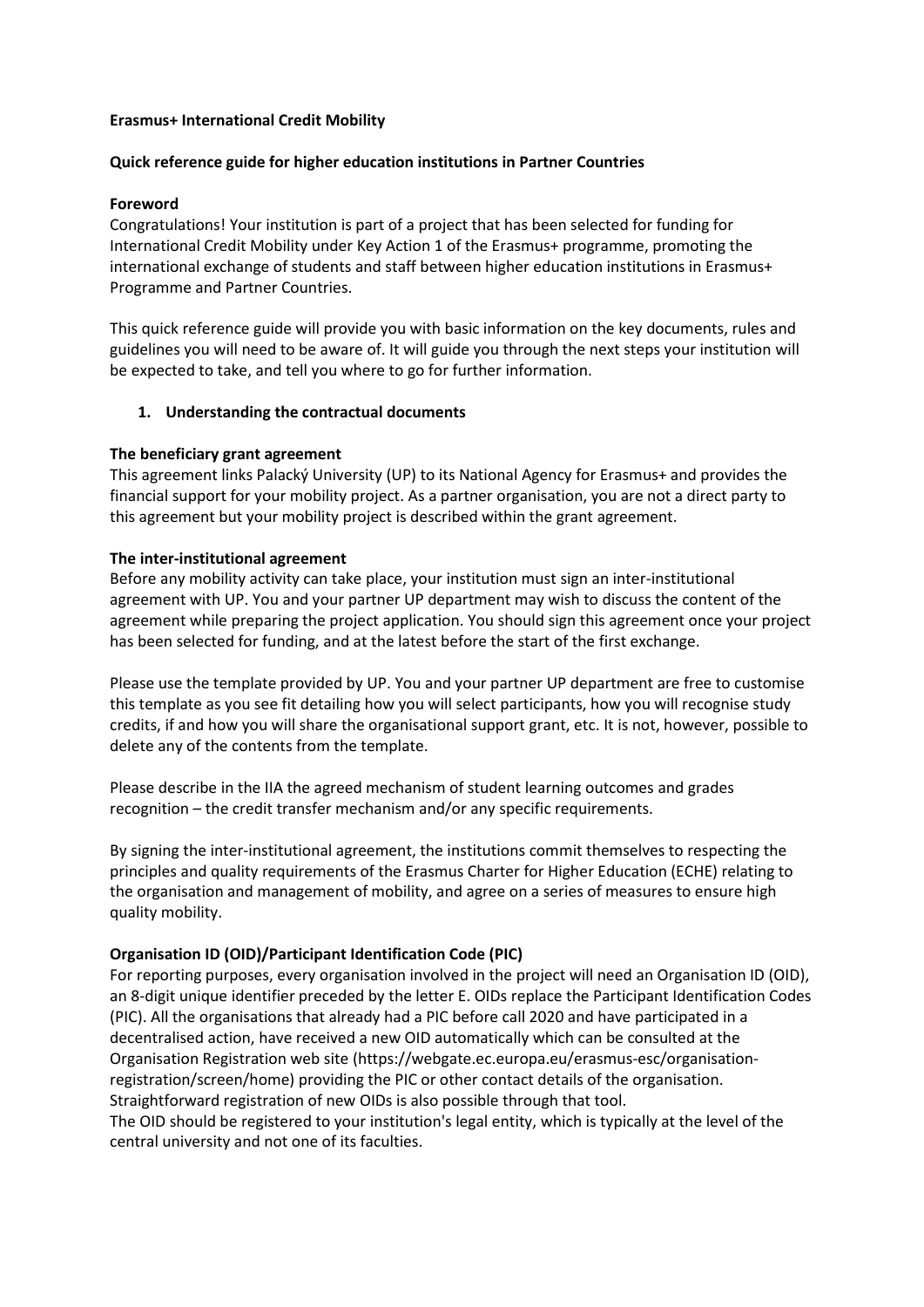## **Erasmus+ International Credit Mobility**

## **Quick reference guide for higher education institutions in Partner Countries**

## **Foreword**

Congratulations! Your institution is part of a project that has been selected for funding for International Credit Mobility under Key Action 1 of the Erasmus+ programme, promoting the international exchange of students and staff between higher education institutions in Erasmus+ Programme and Partner Countries.

This quick reference guide will provide you with basic information on the key documents, rules and guidelines you will need to be aware of. It will guide you through the next steps your institution will be expected to take, and tell you where to go for further information.

## **1. Understanding the contractual documents**

#### **The beneficiary grant agreement**

This agreement links Palacký University (UP) to its National Agency for Erasmus+ and provides the financial support for your mobility project. As a partner organisation, you are not a direct party to this agreement but your mobility project is described within the grant agreement.

## **The inter-institutional agreement**

Before any mobility activity can take place, your institution must sign an inter-institutional agreement with UP. You and your partner UP department may wish to discuss the content of the agreement while preparing the project application. You should sign this agreement once your project has been selected for funding, and at the latest before the start of the first exchange.

Please use the template provided by UP. You and your partner UP department are free to customise this template as you see fit detailing how you will select participants, how you will recognise study credits, if and how you will share the organisational support grant, etc. It is not, however, possible to delete any of the contents from the template.

Please describe in the IIA the agreed mechanism of student learning outcomes and grades recognition – the credit transfer mechanism and/or any specific requirements.

By signing the inter-institutional agreement, the institutions commit themselves to respecting the principles and quality requirements of the Erasmus Charter for Higher Education (ECHE) relating to the organisation and management of mobility, and agree on a series of measures to ensure high quality mobility.

#### **Organisation ID (OID)/Participant Identification Code (PIC)**

For reporting purposes, every organisation involved in the project will need an Organisation ID (OID), an 8-digit unique identifier preceded by the letter E. OIDs replace the Participant Identification Codes (PIC). All the organisations that already had a PIC before call 2020 and have participated in a decentralised action, have received a new OID automatically which can be consulted at the Organisation Registration web site (https://webgate.ec.europa.eu/erasmus-esc/organisationregistration/screen/home) providing the PIC or other contact details of the organisation. Straightforward registration of new OIDs is also possible through that tool.

The OID should be registered to your institution's legal entity, which is typically at the level of the central university and not one of its faculties.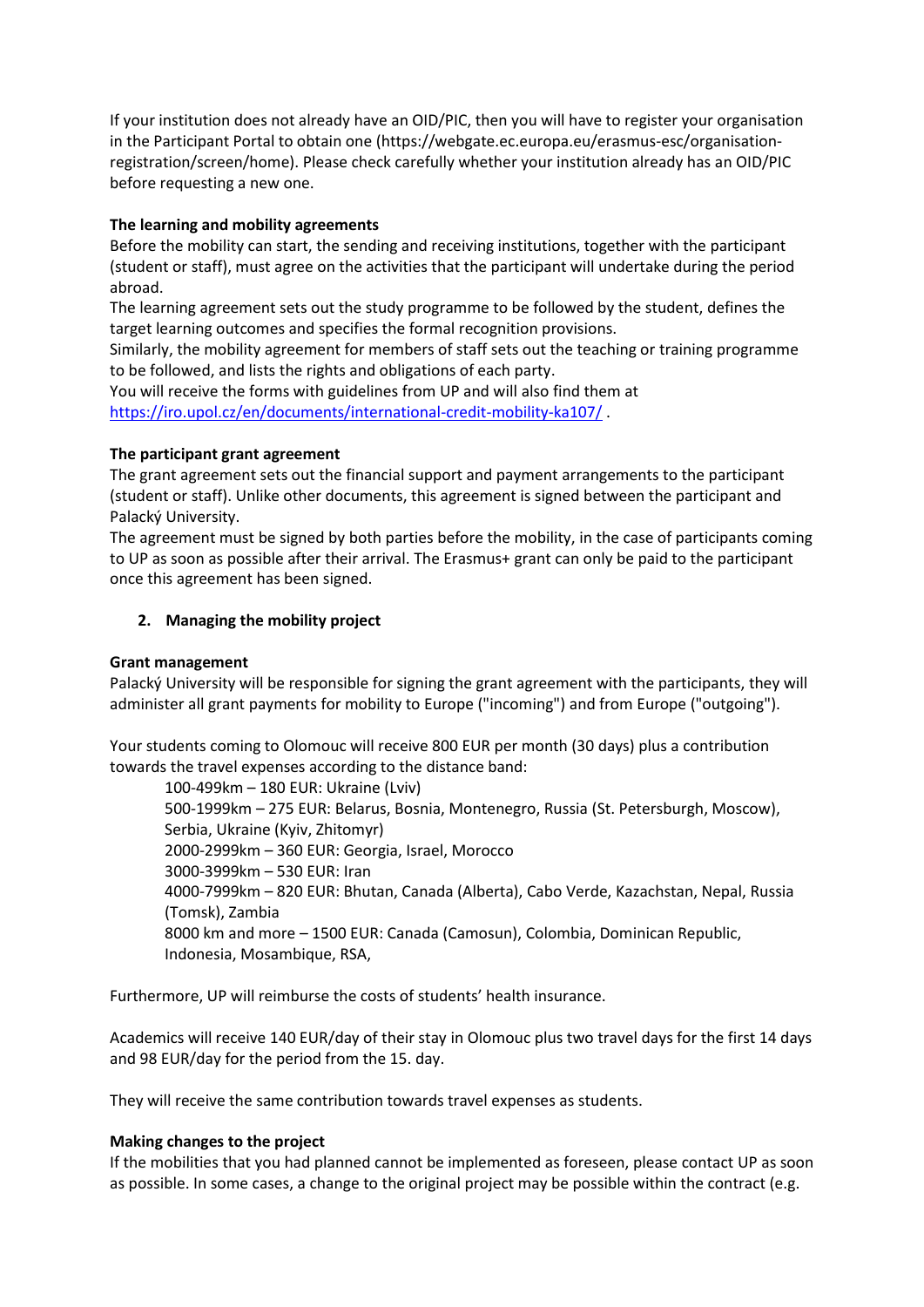If your institution does not already have an OID/PIC, then you will have to register your organisation in the Participant Portal to obtain one (https://webgate.ec.europa.eu/erasmus-esc/organisationregistration/screen/home). Please check carefully whether your institution already has an OID/PIC before requesting a new one.

# **The learning and mobility agreements**

Before the mobility can start, the sending and receiving institutions, together with the participant (student or staff), must agree on the activities that the participant will undertake during the period abroad.

The learning agreement sets out the study programme to be followed by the student, defines the target learning outcomes and specifies the formal recognition provisions.

Similarly, the mobility agreement for members of staff sets out the teaching or training programme to be followed, and lists the rights and obligations of each party.

You will receive the forms with guidelines from UP and will also find them at <https://iro.upol.cz/en/documents/international-credit-mobility-ka107/>

## **The participant grant agreement**

The grant agreement sets out the financial support and payment arrangements to the participant (student or staff). Unlike other documents, this agreement is signed between the participant and Palacký University.

The agreement must be signed by both parties before the mobility, in the case of participants coming to UP as soon as possible after their arrival. The Erasmus+ grant can only be paid to the participant once this agreement has been signed.

## **2. Managing the mobility project**

## **Grant management**

Palacký University will be responsible for signing the grant agreement with the participants, they will administer all grant payments for mobility to Europe ("incoming") and from Europe ("outgoing").

Your students coming to Olomouc will receive 800 EUR per month (30 days) plus a contribution towards the travel expenses according to the distance band:

100-499km – 180 EUR: Ukraine (Lviv) 500-1999km – 275 EUR: Belarus, Bosnia, Montenegro, Russia (St. Petersburgh, Moscow), Serbia, Ukraine (Kyiv, Zhitomyr) 2000-2999km – 360 EUR: Georgia, Israel, Morocco 3000-3999km – 530 EUR: Iran 4000-7999km – 820 EUR: Bhutan, Canada (Alberta), Cabo Verde, Kazachstan, Nepal, Russia (Tomsk), Zambia 8000 km and more – 1500 EUR: Canada (Camosun), Colombia, Dominican Republic, Indonesia, Mosambique, RSA,

Furthermore, UP will reimburse the costs of students' health insurance.

Academics will receive 140 EUR/day of their stay in Olomouc plus two travel days for the first 14 days and 98 EUR/day for the period from the 15. day.

They will receive the same contribution towards travel expenses as students.

#### **Making changes to the project**

If the mobilities that you had planned cannot be implemented as foreseen, please contact UP as soon as possible. In some cases, a change to the original project may be possible within the contract (e.g.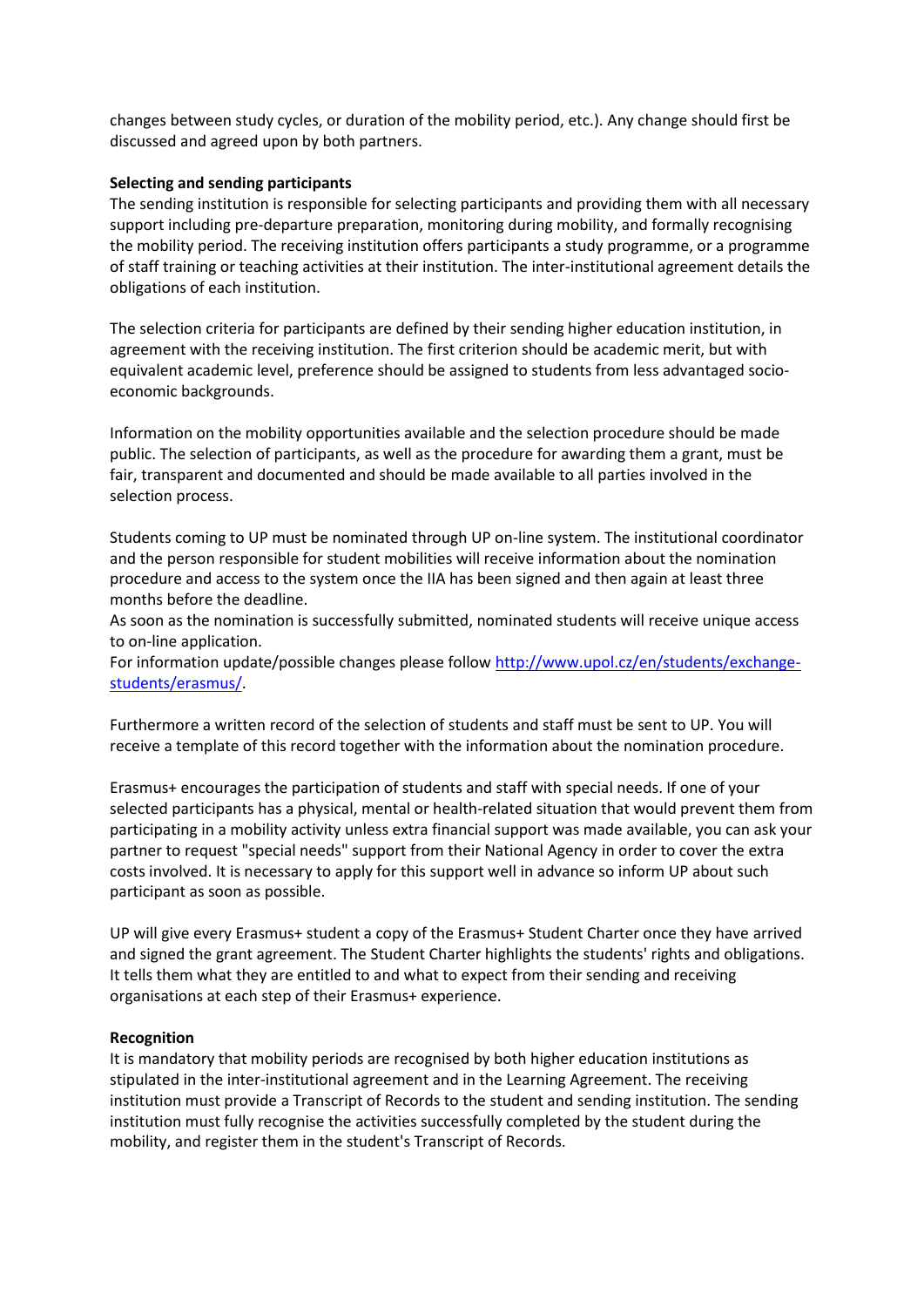changes between study cycles, or duration of the mobility period, etc.). Any change should first be discussed and agreed upon by both partners.

#### **Selecting and sending participants**

The sending institution is responsible for selecting participants and providing them with all necessary support including pre-departure preparation, monitoring during mobility, and formally recognising the mobility period. The receiving institution offers participants a study programme, or a programme of staff training or teaching activities at their institution. The inter-institutional agreement details the obligations of each institution.

The selection criteria for participants are defined by their sending higher education institution, in agreement with the receiving institution. The first criterion should be academic merit, but with equivalent academic level, preference should be assigned to students from less advantaged socioeconomic backgrounds.

Information on the mobility opportunities available and the selection procedure should be made public. The selection of participants, as well as the procedure for awarding them a grant, must be fair, transparent and documented and should be made available to all parties involved in the selection process.

Students coming to UP must be nominated through UP on-line system. The institutional coordinator and the person responsible for student mobilities will receive information about the nomination procedure and access to the system once the IIA has been signed and then again at least three months before the deadline.

As soon as the nomination is successfully submitted, nominated students will receive unique access to on-line application.

For information update/possible changes please follow [http://www.upol.cz/en/students/exchange](http://www.upol.cz/en/students/exchange-students/erasmus/)[students/erasmus/.](http://www.upol.cz/en/students/exchange-students/erasmus/)

Furthermore a written record of the selection of students and staff must be sent to UP. You will receive a template of this record together with the information about the nomination procedure.

Erasmus+ encourages the participation of students and staff with special needs. If one of your selected participants has a physical, mental or health-related situation that would prevent them from participating in a mobility activity unless extra financial support was made available, you can ask your partner to request "special needs" support from their National Agency in order to cover the extra costs involved. It is necessary to apply for this support well in advance so inform UP about such participant as soon as possible.

UP will give every Erasmus+ student a copy of the Erasmus+ Student Charter once they have arrived and signed the grant agreement. The Student Charter highlights the students' rights and obligations. It tells them what they are entitled to and what to expect from their sending and receiving organisations at each step of their Erasmus+ experience.

#### **Recognition**

It is mandatory that mobility periods are recognised by both higher education institutions as stipulated in the inter-institutional agreement and in the Learning Agreement. The receiving institution must provide a Transcript of Records to the student and sending institution. The sending institution must fully recognise the activities successfully completed by the student during the mobility, and register them in the student's Transcript of Records.